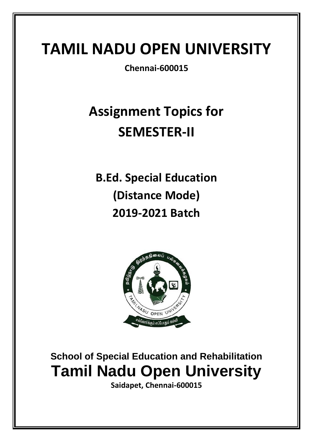**Chennai-600015**

# **Assignment Topics for SEMESTER-II**

**B.Ed. Special Education (Distance Mode) 2019-2021 Batch**



**School of Special Education and Rehabilitation Tamil Nadu Open University**

**Saidapet, Chennai-600015**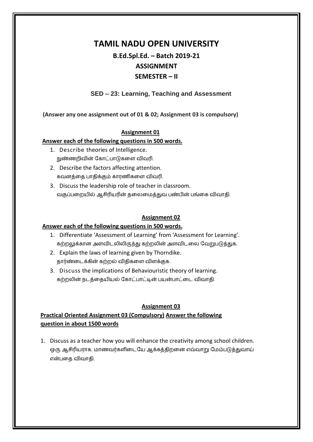# **B.Ed.Spl.Ed. – Batch 2019-21 ASSIGNMENT SEMESTER – II**

# **SED – 23: Learning, Teaching and Assessment**

**(Answer any one assignment out of 01 & 02; Assignment 03 is compulsory)**

## **Assignment 01**

#### **Answer each of the following questions in 500 words.**

- 1. Describe theories of Intelligence. நுண்ணமிலின் ககோட்போடுகளர லிலரி.
- 2. Describe the factors affecting attention. கலனத்ளை போைிக்கும் கோணிகளர லிலரி.
- 3. Discuss the leadership role of teacher in classroom. வகுப்பறையில் ஆசிரியரின் தலைமைத்துவ பண்பின் பங்கை விவாதி.

#### **Assignment 02**

#### **Answer each of the following questions in 500 words.**

- 1. Differentiate 'Assessment of Learning' from 'Assessment for Learning'. கற்றலுக்கான அளவிடலிலிருந்து கற்றலின் அளவிடலை வேறுபடுத்துக.
- 2. Explain the laws of learning given by Thorndike. ைோர்ண்ளடக்கின் கற்மல் லிைிகளர லிரக்குக.
- 3. Discuss the implications of Behaviouristic theory of learning. கற்றலின் நடத்தையியல் கோட்பாட்டின் பயன்பாட்டை விவாதி.

## **Assignment 03**

# **Practical Oriented Assignment 03 (Compulsory) Answer the following question in about 1500 words**

1. Discuss as a teacher how you will enhance the creativity among school children. ஒரு ஆசிரியராக, மாணவர்களிடையே ஆக்கத்திறனை எவ்வாறு மேம்படுத்துவாய் என்பளை லிலோைி.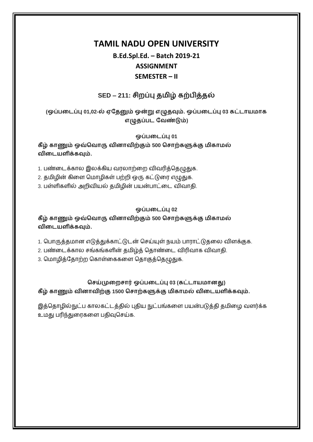# **B.Ed.Spl.Ed. – Batch 2019-21 ASSIGNMENT SEMESTER – II**

# **SED – 211: சிமப்பு திழ் கற்பித்தல்**

**(ஒப்படைப்பு 01,02-ல் ஏததனும் ஒன்று எழுதவும். ஒப்படைப்பு 03 கட்ைாாக எழுதப்பை தேண்டும்)**

**ஒப்படைப்பு 01**

**கீழ் காணும் ஒவ்வோரு ேினாேிற்கும் 500 வசாற்களுக்கு ிகால் ேிடைளிக்கவும்.**

1. பண்டைக்கால இலக்கிய வரலாற்றை விவரித்தெழுதுக.

2. தமிழின் கிளை மொழிகள் பற்றி ஒரு கட்டுரை எழுதுக.

3. பள்ளிகளில் அறிவியல் தமிழின் பயன்பாட்டை விவாதி.

# **ஒப்படைப்பு 02**

**கீழ் காணும் ஒவ்வோரு ேினாேிற்கும் 500 வசாற்களுக்கு ிகால் ேிடைளிக்கவும்.**

1. பொருத்தமான எடுத்துக்காட்டுடன் செய்யுள் நயம் பாராட்டுதலை விளக்குக.

2. பண்டைக்கால சங்கங்களின் தமிழ்த் தொண்டை விரிவாக விவாதி.

3. மொழித்தோற்ற கொள்கைகளை தொகுத்தெழுதுக.

**வசய்முடமசார் ஒப்படைப்பு 03 (கட்ைாானது)**

**கீழ் காணும் ேினாேிற்கு 1500 வசாற்களுக்கு ிகால் ேிடைளிக்கவும்.**

இத்தொழில்நுட்ப காலகட்டத்தில் புதிய நுட்பங்களை பயன்படுத்தி தமிழை வளர்க்க உமது பரிந்துரைகளை பதிவுசெய்க.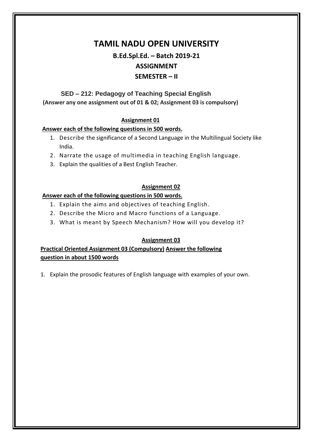# **B.Ed.Spl.Ed. – Batch 2019-21 ASSIGNMENT SEMESTER – II**

## **SED – 212: Pedagogy of Teaching Special English (Answer any one assignment out of 01 & 02; Assignment 03 is compulsory)**

## **Assignment 01**

#### **Answer each of the following questions in 500 words.**

- 1. Describe the significance of a Second Language in the Multilingual Society like India.
- 2. Narrate the usage of multimedia in teaching English language.
- 3. Explain the qualities of a Best English Teacher.

## **Assignment 02**

#### **Answer each of the following questions in 500 words.**

- 1. Explain the aims and objectives of teaching English.
- 2. Describe the Micro and Macro functions of a Language.
- 3. What is meant by Speech Mechanism? How will you develop it?

## **Assignment 03**

**Practical Oriented Assignment 03 (Compulsory) Answer the following question in about 1500 words**

1. Explain the prosodic features of English language with examples of your own.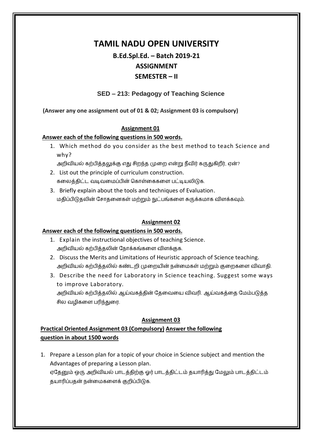# **B.Ed.Spl.Ed. – Batch 2019-21 ASSIGNMENT SEMESTER – II**

# **SED – 213: Pedagogy of Teaching Science**

**(Answer any one assignment out of 01 & 02; Assignment 03 is compulsory)**

## **Assignment 01**

## **Answer each of the following questions in 500 words.**

1. Which method do you consider as the best method to teach Science and why?

அறிவியல் கற்பித்தலுக்கு எது சிறந்த முறை என்று நீவிர் கருதுகிறீர், ஏன்?

- 2. List out the principle of curriculum construction. கலைத்திட்ட வடிவமைப்பின் கொள்கைகளை பட்டியலிடுக.
- 3. Briefly explain about the tools and techniques of Evaluation. மதிப்பிடுதலின் சோதனைகள் மற்றும் நுட்பங்களை சுருக்கமாக விளக்கவும்.

## **Assignment 02**

## **Answer each of the following questions in 500 words.**

- 1. Explain the instructional objectives of teaching Science. அறிவியல் கற்பித்தலின் நோக்கங்களை விளக்குக.
- 2. Discuss the Merits and Limitations of Heuristic approach of Science teaching. அறிவியல் கற்பித்தலில் கண்டறி முறையின் நன்மைகள் மற்றும் குறைகளை விவாதி.
- 3. Describe the need for Laboratory in Science teaching. Suggest some ways to improve Laboratory. அறிவியல் கற்பித்தலில் ஆய்வகத்தின் தேவையை விவரி. ஆய்வகத்தை மேம்படுத்த சில வமிகளை பரிந்துரை.

## **Assignment 03**

# **Practical Oriented Assignment 03 (Compulsory) Answer the following question in about 1500 words**

1. Prepare a Lesson plan for a topic of your choice in Science subject and mention the Advantages of preparing a Lesson plan. ஏதேனும் ஒரு அறிவியல் பாடத்திற்கு ஓர் பாடத்திட்டம் தயாரித்து மேலும் பாடத்திட்டம் ைோரிப்பைன் நன்ளகளரக் குமிப்பிடுக.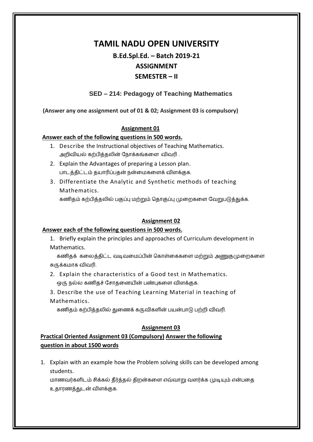# **B.Ed.Spl.Ed. – Batch 2019-21 ASSIGNMENT SEMESTER – II**

# **SED – 214: Pedagogy of Teaching Mathematics**

**(Answer any one assignment out of 01 & 02; Assignment 03 is compulsory)**

## **Assignment 01**

## **Answer each of the following questions in 500 words.**

- 1. Describe the Instructional objectives of Teaching Mathematics. அறிவியல் கற்பித்தலின் நோக்கங்களை விவரி .
- 2. Explain the Advantages of preparing a Lesson plan. பாடத்திட்டம் தயாரிப்பதன் நன்மைகளைக் விளக்குக.
- 3. Differentiate the Analytic and Synthetic methods of teaching Mathematics.

கணிதம் கற்பித்தலில் பகுப்பு மற்றும் தொகுப்பு முறைகளை வேறுபடுத்துக்க.

## **Assignment 02**

## **Answer each of the following questions in 500 words.**

1. Briefly explain the principles and approaches of Curriculum development in Mathematics.

கணிகக் கலைக்கிட்ட வடிவமைப்பின் கொள்கைகளை மற்றும் அணுகுமுறைகளை சுருக்கோக லிலரி.

- 2. Explain the characteristics of a Good test in Mathematics. ஒரு நல்ல கணிதச் சோதனையின் பண்புகளை விளக்குக.
- 3. Describe the use of Teaching Learning Material in teaching of Mathematics.

கணிதம் கற்பித்தலில் துணைக் கருவிகளின் பயன்பாடு பற்றி விவரி.

# **Assignment 03**

# **Practical Oriented Assignment 03 (Compulsory) Answer the following question in about 1500 words**

1. Explain with an example how the Problem solving skills can be developed among students.

மாணவர்களிடம் சிக்கல் தீர்த்தல் திறன்களை எவ்வாறு வளர்க்க முடியும் என்பதை உைோணத்துடன் லிரக்குக.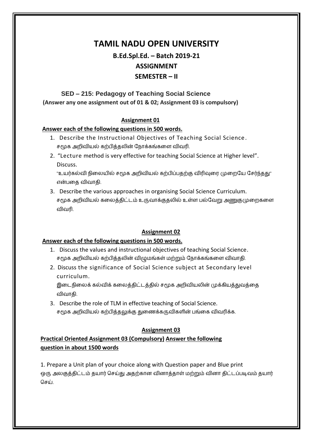# **B.Ed.Spl.Ed. – Batch 2019-21 ASSIGNMENT SEMESTER – II**

# **SED – 215: Pedagogy of Teaching Social Science (Answer any one assignment out of 01 & 02; Assignment 03 is compulsory)**

## **Assignment 01**

## **Answer each of the following questions in 500 words.**

- 1. Describe the Instructional Objectives of Teaching Social Science. சமூக அறிவியல் கற்பித்தலின் நோக்கங்களை விவரி.
- 2. "Lecture method is very effective for teaching Social Science at Higher level". Discuss.

"உயர்கல்வி நிலையில் சமூக அறிவியல் கற்பிப்பதற்கு விரிவுரை முறையே சேர்ந்தது" என்பளை லிலோைி.

3. Describe the various approaches in organising Social Science Curriculum. சமூக அறிவியல் கலைத்திட்டம் உருவாக்குதலில் உள்ள பல்வேறு அணுகுமுறைகளை லிலரி.

# **Assignment 02**

# **Answer each of the following questions in 500 words.**

- 1. Discuss the values and instructional objectives of teaching Social Science. சமூக அறிவியல் கற்பித்தலின் விழுமங்கள் மற்றும் நோக்கங்களை விவாதி.
- 2. Discuss the significance of Social Science subject at Secondary level curriculum.

இடைநிலைக் கல்விக் கலைத்திட்டத்தில் சமூக அறிவியலின் முக்கியத்துவத்தை லிலோைி.

3. Describe the role of TLM in effective teaching of Social Science. சமூக அமிலில் கற்பித்ைலுக்கு துளணக்கருலிகரின் பங்ளக லிலரிக்க.

# **Assignment 03**

# **Practical Oriented Assignment 03 (Compulsory) Answer the following question in about 1500 words**

1. Prepare a Unit plan of your choice along with Question paper and Blue print ஒரு அலகுத்திட்டம் தயார் செய்து அதற்கான வினாத்தாள் மற்றும் வினா திட்டப்படிவம் தயார் தசய்.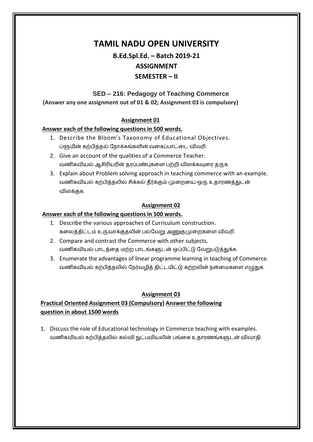**B.Ed.Spl.Ed. – Batch 2019-21 ASSIGNMENT SEMESTER – II**

# **SED – 216: Pedagogy of Teaching Commerce**

**(Answer any one assignment out of 01 & 02; Assignment 03 is compulsory)**

## **Assignment 01**

#### **Answer each of the following questions in 500 words.**

- 1. Describe the Bloom's Taxonomy of Educational Objectives. ப்ளூமின் கற்பித்தல் நோக்கங்களின் வகைப்பாட்டை விவரி.
- 2. Give an account of the qualities of a Commerce Teacher. வணிகவியல் ஆசிரியரின் தரப்பண்புகளை பற்றி விளக்கவுரை தருக.
- 3. Explain about Problem solving approach in teaching commerce with an example. வணிகவியல் கற்பித்தலில் சிக்கல் தீர்க்கும் முறையை ஒரு உதாரணத்துடன் லிரக்குக.

#### **Assignment 02**

#### **Answer each of the following questions in 500 words.**

- 1. Describe the various approaches of Curriculum construction. கலைத்திட்டம் உருவாக்குதலின் பல்வேறு அணுகுமுறைகளை விவரி.
- 2. Compare and contrast the Commerce with other subjects. வணிகவியல் பாடத்தை மற்ற பாடங்களுடன் ஒப்பிட்டு வேறுபடுத்துக்க.
- 3. Enumerate the advantages of linear programme learning in teaching of Commerce. வணிகவியல் கற்பித்தலில் நேர்வழித் திட்டமிட்டு கற்றலின் நன்மைகளை எழுதுக.

## **Assignment 03**

# **Practical Oriented Assignment 03 (Compulsory) Answer the following question in about 1500 words**

1. Discuss the role of Educational technology in Commerce teaching with examples. வணிகவியல் கற்பித்தலில் கல்வி நுட்பவியலின் பங்கை உதாரணங்களுடன் விவாதி.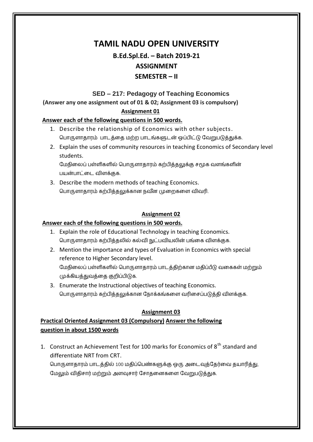# **B.Ed.Spl.Ed. – Batch 2019-21 ASSIGNMENT SEMESTER – II**

# **SED – 217: Pedagogy of Teaching Economics**

**(Answer any one assignment out of 01 & 02; Assignment 03 is compulsory)**

## **Assignment 01**

#### **Answer each of the following questions in 500 words.**

- 1. Describe the relationship of Economics with other subjects. தபோருரோைோம் போடத்ளை ற்ம போடங்களுடன் ஒப்பிட்டு கலறுபடுத்துக்க.
- 2. Explain the uses of community resources in teaching Economics of Secondary level students.

மேநிலைப் பள்ளிகளில் பொருளாதாரம் கற்பித்தலுக்கு சமூக வளங்களின் பன்போட்ளட லிரக்குக.

3. Describe the modern methods of teaching Economics. பொருளாதாரம் கற்பித்தலுக்கான நவீன முறைகளை விவரி.

## **Assignment 02**

#### **Answer each of the following questions in 500 words.**

- 1. Explain the role of Educational Technology in teaching Economics. பொருளாதாரம் கற்பித்தலில் கல்வி நுட்பவியலின் பங்கை விளக்குக.
- 2. Mention the importance and types of Evaluation in Economics with special reference to Higher Secondary level. மேநிலைப் பள்ளிகளில் பொருளாதாரம் பாடத்திற்கான மதிப்பீடு வகைகள் மற்றும் முக்கித்துலத்ளை குமிப்பிடுக.
- 3. Enumerate the Instructional objectives of teaching Economics. பொருளாதாரம் கற்பித்தலுக்கான நோக்கங்களை வரிசைப்படுத்தி விளக்குக.

## **Assignment 03**

# **Practical Oriented Assignment 03 (Compulsory) Answer the following question in about 1500 words**

1. Construct an Achievement Test for 100 marks for Economics of  $8<sup>th</sup>$  standard and differentiate NRT from CRT. பொருளாதாரம் பாடத்தில் 100 மதிப்பெண்களுக்கு ஒரு அடைவுத்தேர்வை தயாரித்து,

மேலும் விதிசார் மற்றும் அளவுசார் சோதனைகளை வேறுபடுத்துக.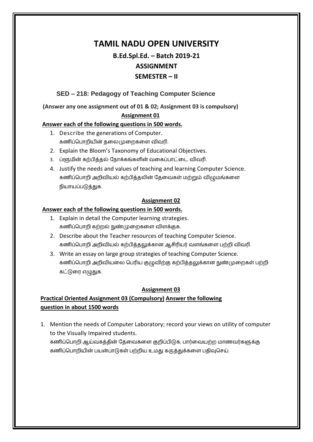# **B.Ed.Spl.Ed. – Batch 2019-21 ASSIGNMENT SEMESTER – II**

# **SED – 218: Pedagogy of Teaching Computer Science**

**(Answer any one assignment out of 01 & 02; Assignment 03 is compulsory)**

## **Assignment 01**

## **Answer each of the following questions in 500 words.**

- 1. Describe the generations of Computer. கணிப்பொறியின் தலைமுறைகளை விவரி.
- 2. Explain the Bloom's Taxonomy of Educational Objectives.
- 3. ப்ளூமின் கற்பித்தல் நோக்கங்களின் வகைப்பாட்டை விவரி.
- 4. Justify the needs and values of teaching and learning Computer Science. கணிப்பொறி அறிவியல் கற்பித்தலின் தேவைகள் மற்றும் விழுமங்களை நிோப்படுத்துக.

## **Assignment 02**

## **Answer each of the following questions in 500 words.**

- 1. Explain in detail the Computer learning strategies. கணிப்தபோமி கற்மல் நுண்முளமகளர லிரக்குக.
- 2. Describe about the Teacher resources of teaching Computer Science. கணிப்பொறி அறிவியல் கற்பித்தலுக்கான ஆசிரியர் வளங்களை பற்றி விவரி.
- 3. Write an essay on large group strategies of teaching Computer Science. கணிப்பொறி அறிவியலை பெரிய குழுவிற்கு கற்பித்தலுக்கான நுண்முறைகள் பற்றி கட்டுரை எழுதுக.

# **Assignment 03**

# **Practical Oriented Assignment 03 (Compulsory) Answer the following question in about 1500 words**

1. Mention the needs of Computer Laboratory; record your views on utility of computer to the Visually Impaired students. கணிப்பொறி ஆய்வகத்தின் தேவைகளை குறிப்பிடுக; பார்வையற்ற மாணவர்களுக்கு கணிப்பொறியின் பயன்பாடுகள் பற்றிய உமது கருத்துக்களை பதிவுசெய்.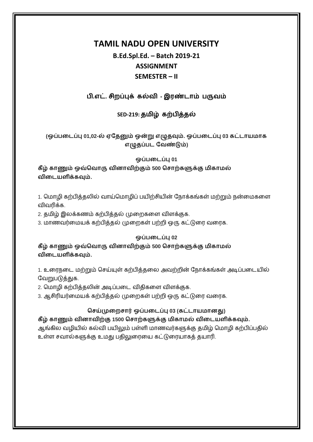# **B.Ed.Spl.Ed. – Batch 2019-21 ASSIGNMENT SEMESTER – II**

# **பி.எட். சிமப்புக் கல்ேி - இண்ைாம் பருேம்**

# **SED-219: திழ் கற்பித்தல்**

# **(ஒப்படைப்பு 01,02-ல் ஏததனும் ஒன்று எழுதவும். ஒப்படைப்பு 03 கட்ைாாக எழுதப்பை தேண்டும்)**

#### **ஒப்படைப்பு 01**

**கீழ் காணும் ஒவ்வோரு ேினாேிற்கும் 500 வசாற்களுக்கு ிகால் ேிடைளிக்கவும்.**

1. மொழி கற்பித்தலில் வாய்மொழிப் பயிற்சியின் நோக்கங்கள் மற்றும் நன்மைகளை லிலரிக்க.

2. தமிழ் இலக்கணம் கற்பித்தல் முறைகளை விளக்குக.

3. மாணவர்மையக் கற்பித்தல் முறைகள் பற்றி ஒரு கட்டுரை வரைக.

## **ஒப்படைப்பு 02**

**கீழ் காணும் ஒவ்வோரு ேினாேிற்கும் 500 வசாற்களுக்கு ிகால் ேிடைளிக்கவும்.**

1. உரைநடை மற்றும் செய்யுள் கற்பித்தலை அவற்றின் நோக்கங்கள் அடிப்படையில் வேறுபடுத்துக.

2. மொழி கற்பித்தலின் அடிப்படை விதிகளை விளக்குக.

3. ஆசிரியர்மையக் கற்பித்தல் முறைகள் பற்றி ஒரு கட்டுரை வரைக.

# **வசய்முடமசார் ஒப்படைப்பு 03 (கட்ைாானது)**

**கீழ் காணும் ேினாேிற்கு 1500 வசாற்களுக்கு ிகால் ேிடைளிக்கவும்.** ஆங்கில வழியில் கல்வி பயிலும் பள்ளி மாணவர்களுக்கு தமிழ் மொழி கற்பிப்பதில் உள்ள சவால்களுக்கு உமது பதிலுரையை கட்டுரையாகத் தயாரி.